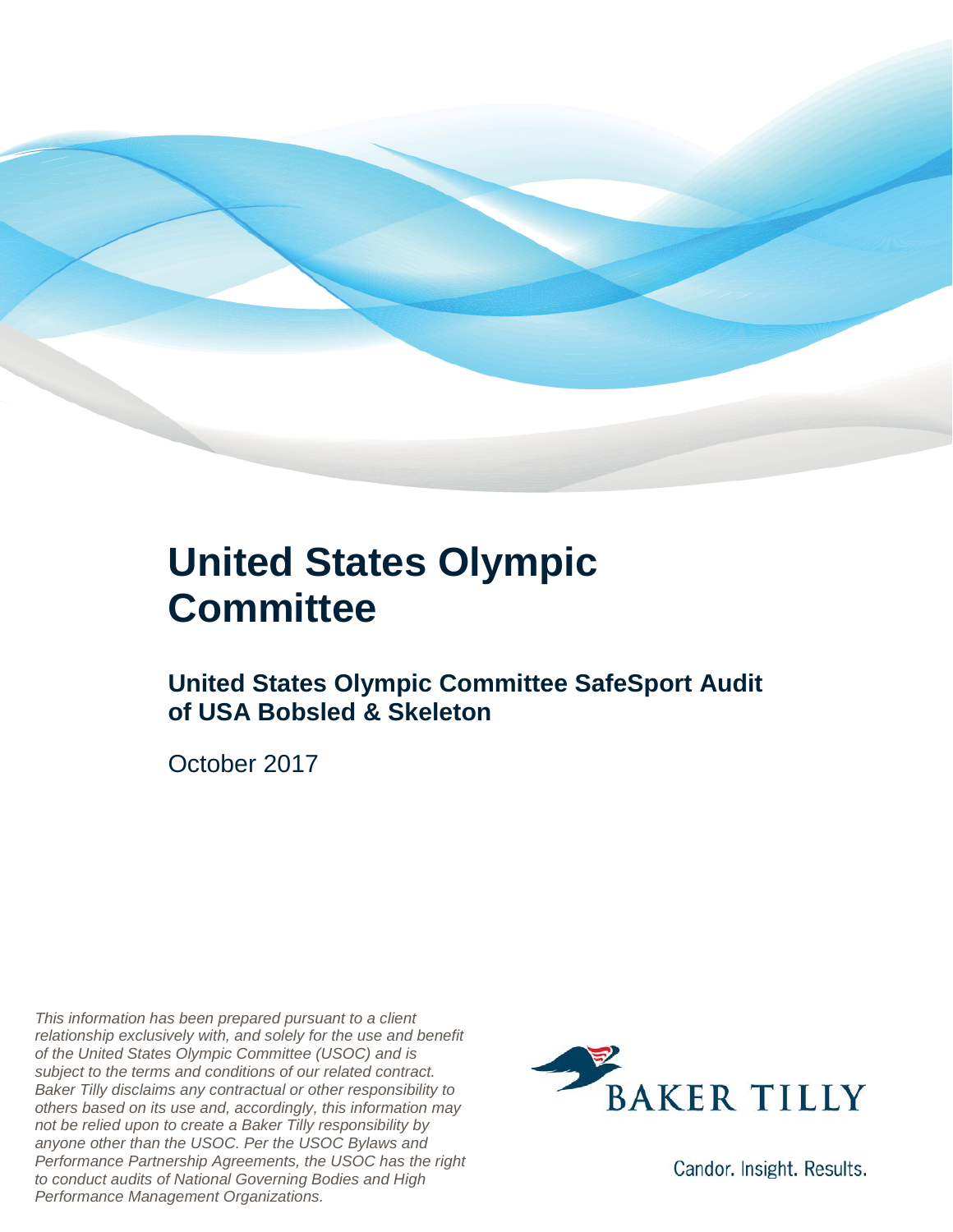

### **United States Olympic Committee**

#### **United States Olympic Committee SafeSport Audit of USA Bobsled & Skeleton**

October 2017

*This information has been prepared pursuant to a client relationship exclusively with, and solely for the use and benefit of the United States Olympic Committee (USOC) and is subject to the terms and conditions of our related contract. Baker Tilly disclaims any contractual or other responsibility to others based on its use and, accordingly, this information may not be relied upon to create a Baker Tilly responsibility by anyone other than the USOC. Per the USOC Bylaws and Performance Partnership Agreements, the USOC has the right to conduct audits of National Governing Bodies and High Performance Management Organizations.*



Candor. Insight. Results.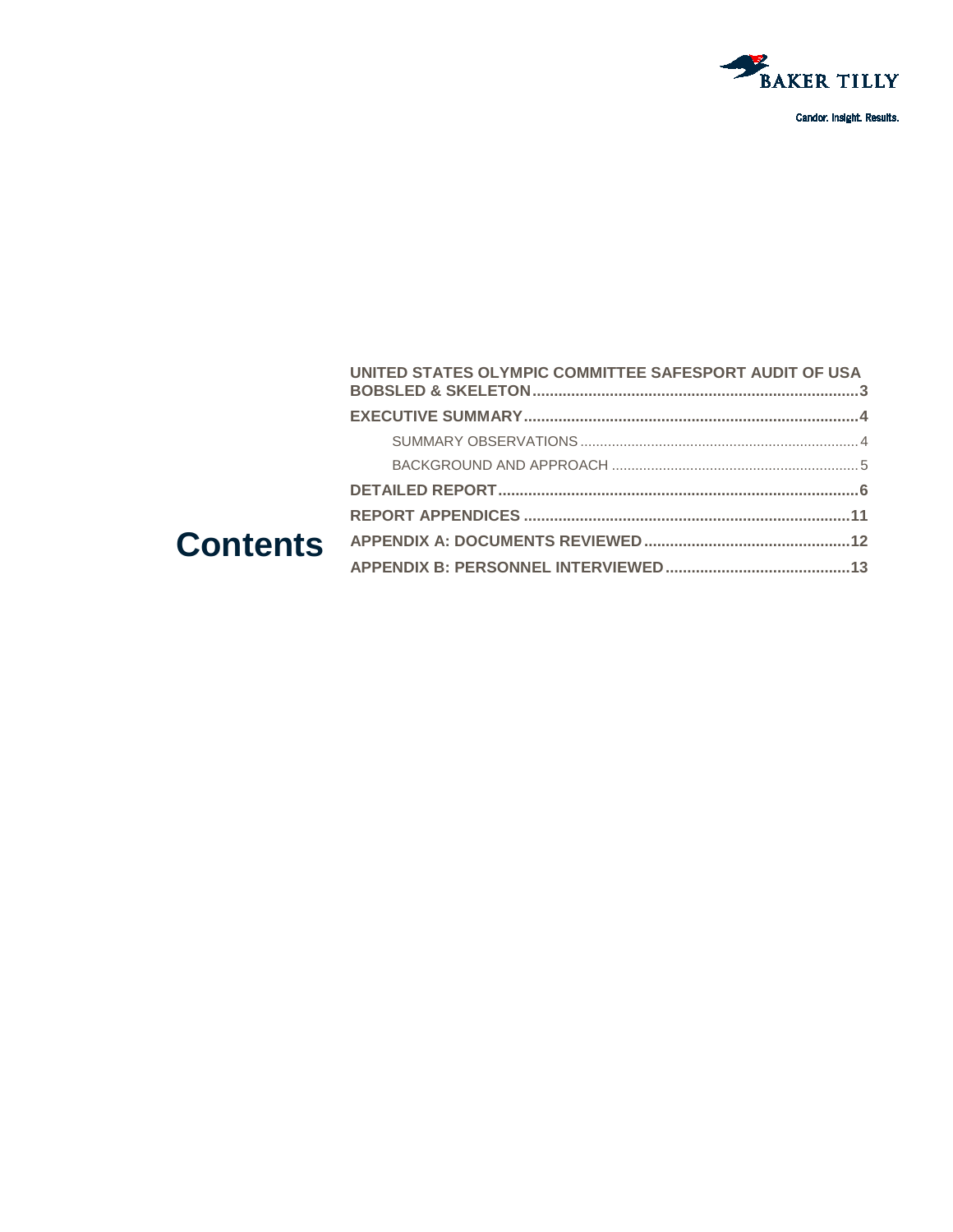

#### UNITED STATES OLYMPIC COMMITTEE SAFESPORT AUDIT OF USA **Contents**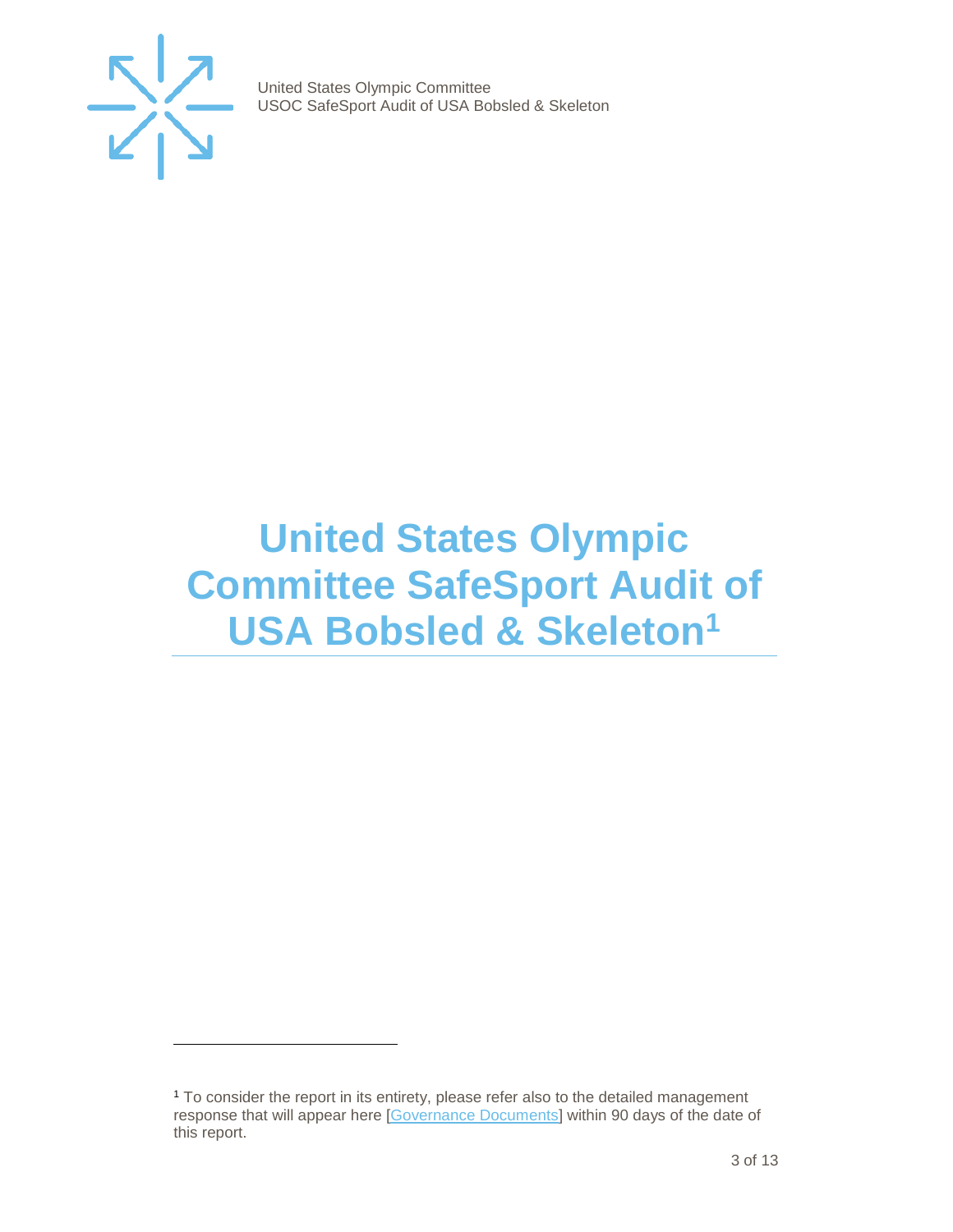

j

United States Olympic Committee USOC SafeSport Audit of USA Bobsled & Skeleton

## <span id="page-2-0"></span>**United States Olympic Committee SafeSport Audit of USA Bobsled & Skeleto[n1](#page-2-1)**

<span id="page-2-1"></span><sup>1</sup> To consider the report in its entirety, please refer also to the detailed management response that will appear here [\[Governance Documents\]](https://www.teamusa.org/Footer/Legal/Governance-Documents) within 90 days of the date of this report.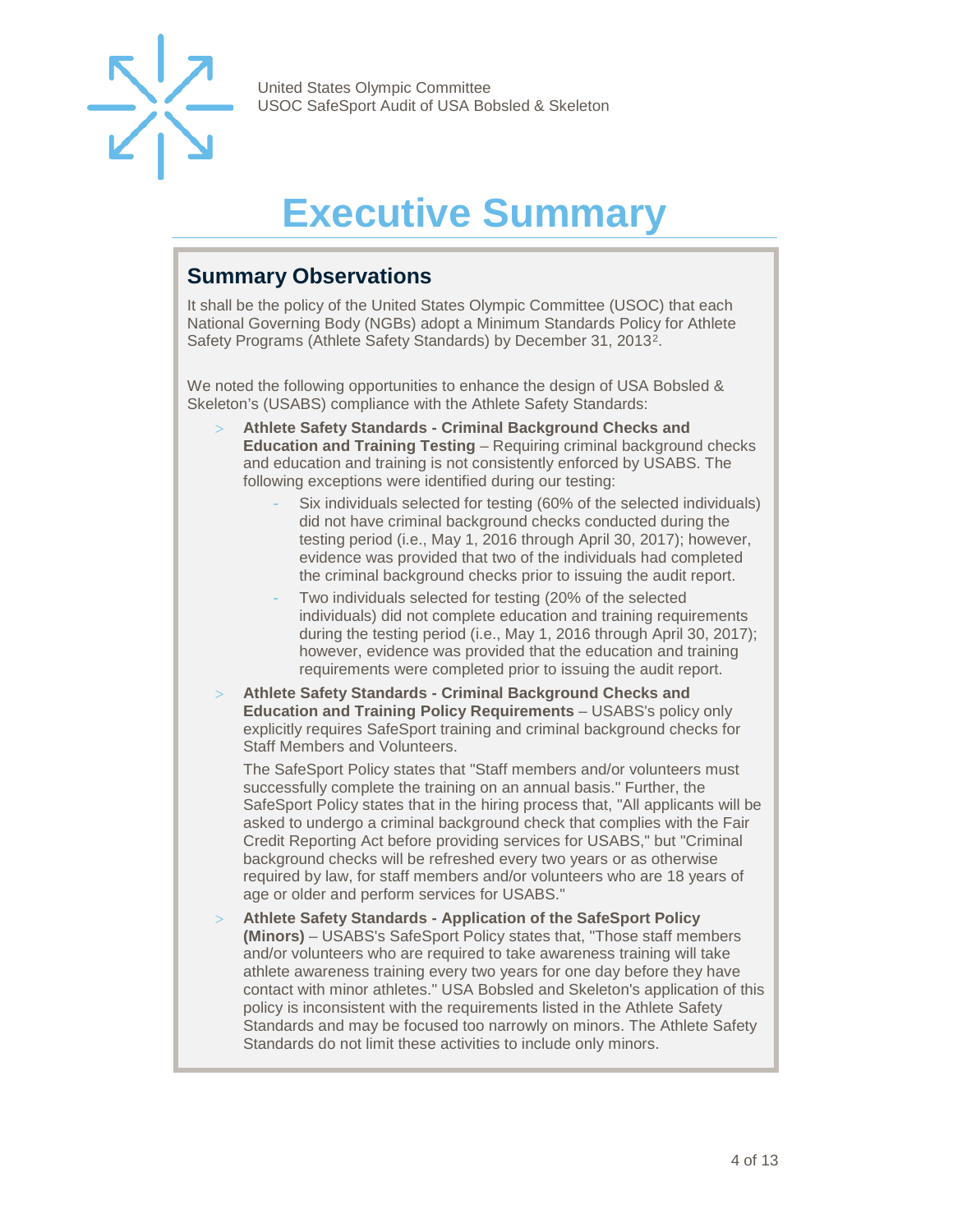<span id="page-3-3"></span>

## **Executive Summary**

#### <span id="page-3-1"></span><span id="page-3-0"></span>**Summary Observations**

It shall be the policy of the United States Olympic Committee (USOC) that each National Governing Body (NGBs) adopt a Minimum Standards Policy for Athlete Safety Programs (Athlete Safety Standards) by December 31, 2013[2](#page-3-3).

We noted the following opportunities to enhance the design of USA Bobsled & Skeleton's (USABS) compliance with the Athlete Safety Standards:

- > **Athlete Safety Standards - Criminal Background Checks and Education and Training Testing** – Requiring criminal background checks and education and training is not consistently enforced by USABS. The following exceptions were identified during our testing:
	- Six individuals selected for testing (60% of the selected individuals) did not have criminal background checks conducted during the testing period (i.e., May 1, 2016 through April 30, 2017); however, evidence was provided that two of the individuals had completed the criminal background checks prior to issuing the audit report.
	- Two individuals selected for testing (20% of the selected individuals) did not complete education and training requirements during the testing period (i.e., May 1, 2016 through April 30, 2017); however, evidence was provided that the education and training requirements were completed prior to issuing the audit report.
- > **Athlete Safety Standards - Criminal Background Checks and Education and Training Policy Requirements** – USABS's policy only explicitly requires SafeSport training and criminal background checks for Staff Members and Volunteers.

The SafeSport Policy states that "Staff members and/or volunteers must successfully complete the training on an annual basis." Further, the SafeSport Policy states that in the hiring process that, "All applicants will be asked to undergo a criminal background check that complies with the Fair Credit Reporting Act before providing services for USABS," but "Criminal background checks will be refreshed every two years or as otherwise required by law, for staff members and/or volunteers who are 18 years of age or older and perform services for USABS."

<span id="page-3-2"></span>> **Athlete Safety Standards - Application of the SafeSport Policy (Minors)** – USABS's SafeSport Policy states that, "Those staff members and/or volunteers who are required to take awareness training will take athlete awareness training every two years for one day before they have contact with minor athletes." USA Bobsled and Skeleton's application of this policy is inconsistent with the requirements listed in the Athlete Safety Standards and may be focused too narrowly on minors. The Athlete Safety Standards do not limit these activities to include only minors.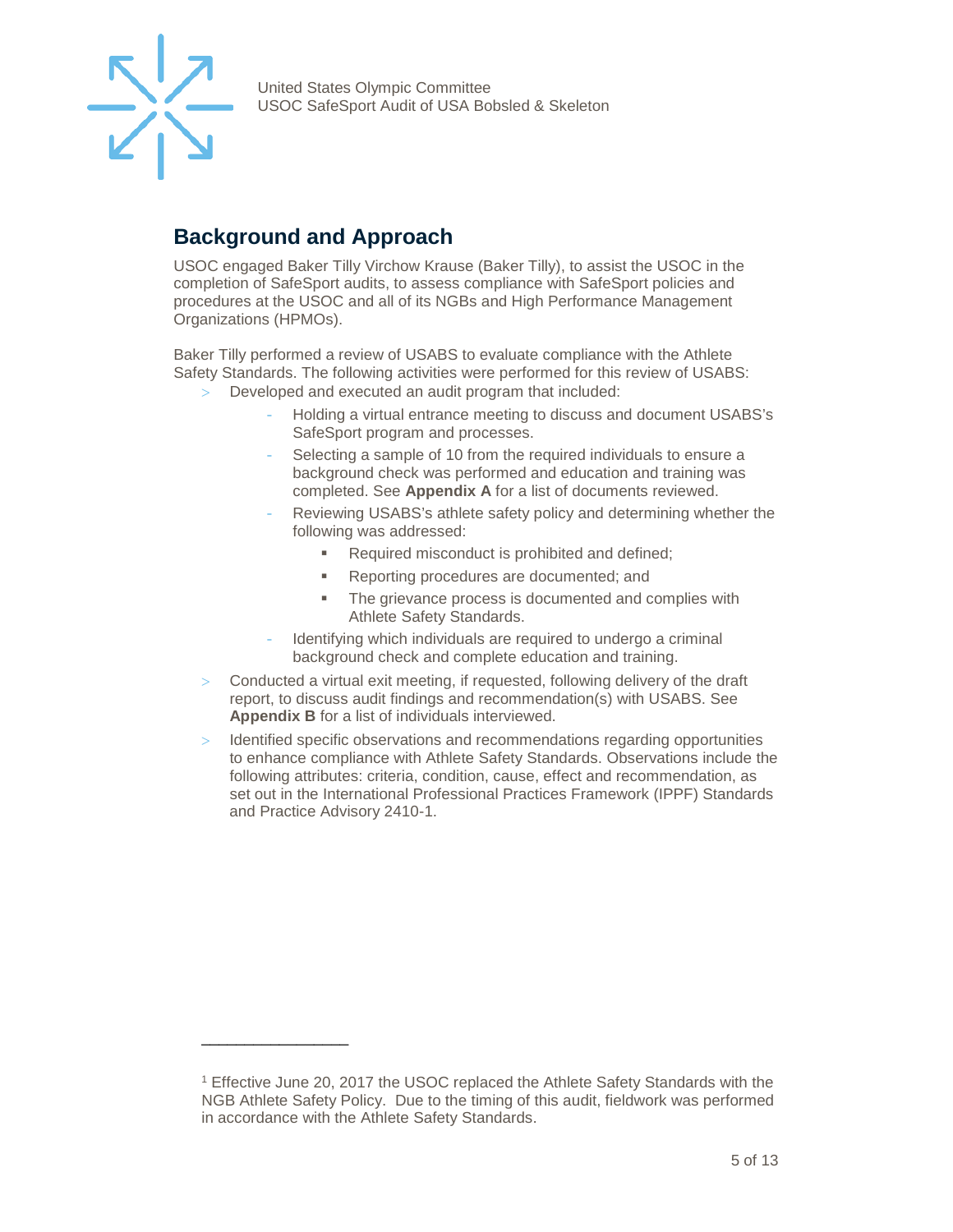

#### **Background and Approach**

\_\_\_\_\_\_\_\_\_\_\_\_\_\_\_\_\_

USOC engaged Baker Tilly Virchow Krause (Baker Tilly), to assist the USOC in the completion of SafeSport audits, to assess compliance with SafeSport policies and procedures at the USOC and all of its NGBs and High Performance Management Organizations (HPMOs).

Baker Tilly performed a review of USABS to evaluate compliance with the Athlete Safety Standards. The following activities were performed for this review of USABS:

- Developed and executed an audit program that included:
	- Holding a virtual entrance meeting to discuss and document USABS's SafeSport program and processes.
	- Selecting a sample of 10 from the required individuals to ensure a background check was performed and education and training was completed. See **Appendix A** for a list of documents reviewed.
	- Reviewing USABS's athlete safety policy and determining whether the following was addressed:
		- Required misconduct is prohibited and defined;
		- **Reporting procedures are documented; and**
		- The grievance process is documented and complies with Athlete Safety Standards.
	- Identifying which individuals are required to undergo a criminal background check and complete education and training.
- > Conducted a virtual exit meeting, if requested, following delivery of the draft report, to discuss audit findings and recommendation(s) with USABS. See **Appendix B** for a list of individuals interviewed.
- > Identified specific observations and recommendations regarding opportunities to enhance compliance with Athlete Safety Standards. Observations include the following attributes: criteria, condition, cause, effect and recommendation, as set out in the International Professional Practices Framework (IPPF) Standards and Practice Advisory 2410-1.

<sup>1</sup> Effective June 20, 2017 the USOC replaced the Athlete Safety Standards with the NGB Athlete Safety Policy. Due to the timing of this audit, fieldwork was performed in accordance with the Athlete Safety Standards.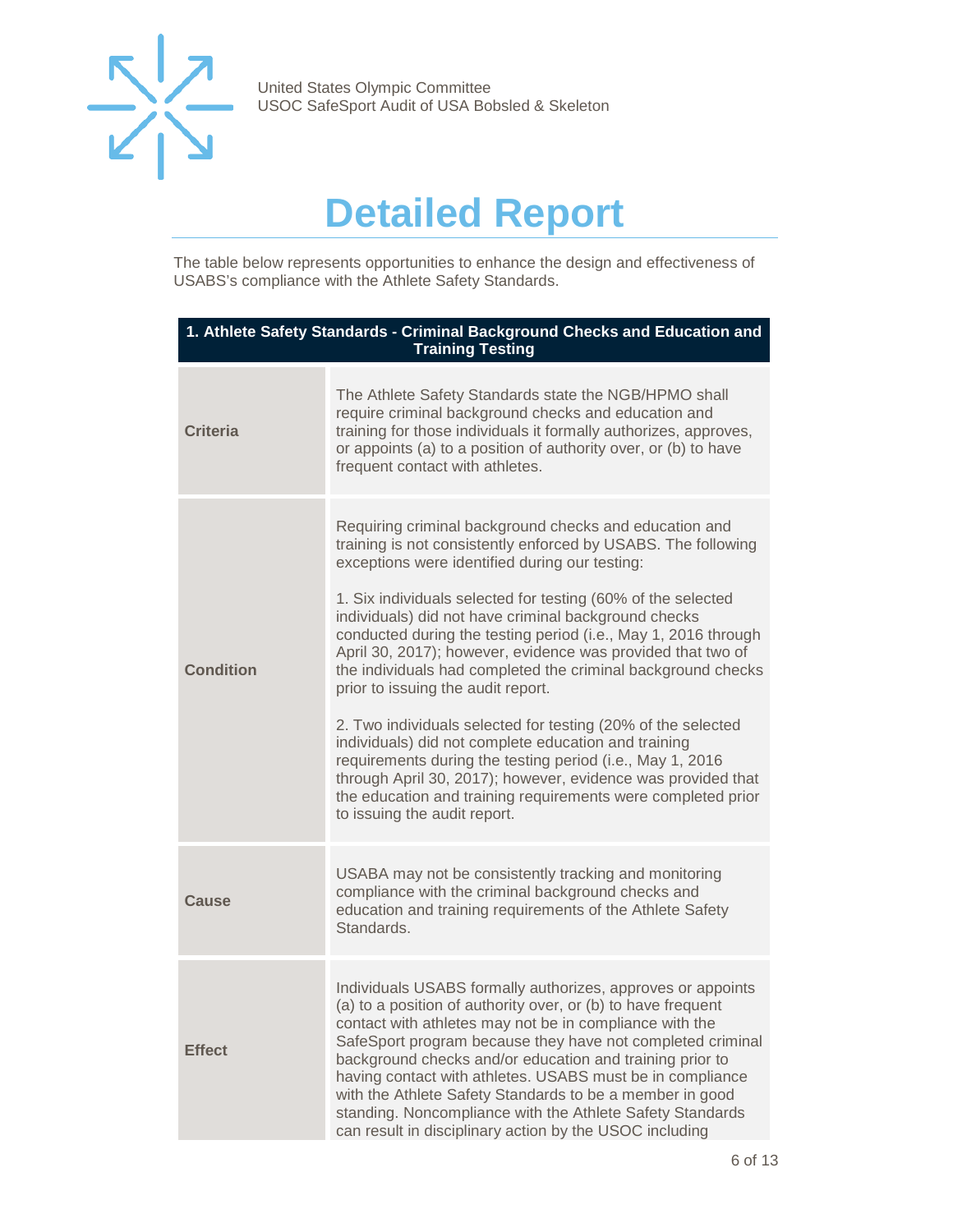

## **Detailed Report**

<span id="page-5-0"></span>The table below represents opportunities to enhance the design and effectiveness of USABS's compliance with the Athlete Safety Standards.

| 1. Athlete Safety Standards - Criminal Background Checks and Education and<br><b>Training Testing</b> |                                                                                                                                                                                                                                                                                                                                                                                                                                                                                                                                                                                                                                                                                                                                                                                                                                                                                               |  |
|-------------------------------------------------------------------------------------------------------|-----------------------------------------------------------------------------------------------------------------------------------------------------------------------------------------------------------------------------------------------------------------------------------------------------------------------------------------------------------------------------------------------------------------------------------------------------------------------------------------------------------------------------------------------------------------------------------------------------------------------------------------------------------------------------------------------------------------------------------------------------------------------------------------------------------------------------------------------------------------------------------------------|--|
| <b>Criteria</b>                                                                                       | The Athlete Safety Standards state the NGB/HPMO shall<br>require criminal background checks and education and<br>training for those individuals it formally authorizes, approves,<br>or appoints (a) to a position of authority over, or (b) to have<br>frequent contact with athletes.                                                                                                                                                                                                                                                                                                                                                                                                                                                                                                                                                                                                       |  |
| <b>Condition</b>                                                                                      | Requiring criminal background checks and education and<br>training is not consistently enforced by USABS. The following<br>exceptions were identified during our testing:<br>1. Six individuals selected for testing (60% of the selected<br>individuals) did not have criminal background checks<br>conducted during the testing period (i.e., May 1, 2016 through<br>April 30, 2017); however, evidence was provided that two of<br>the individuals had completed the criminal background checks<br>prior to issuing the audit report.<br>2. Two individuals selected for testing (20% of the selected<br>individuals) did not complete education and training<br>requirements during the testing period (i.e., May 1, 2016<br>through April 30, 2017); however, evidence was provided that<br>the education and training requirements were completed prior<br>to issuing the audit report. |  |
| Cause                                                                                                 | USABA may not be consistently tracking and monitoring<br>compliance with the criminal background checks and<br>education and training requirements of the Athlete Safety<br>Standards.                                                                                                                                                                                                                                                                                                                                                                                                                                                                                                                                                                                                                                                                                                        |  |
| <b>Effect</b>                                                                                         | Individuals USABS formally authorizes, approves or appoints<br>(a) to a position of authority over, or (b) to have frequent<br>contact with athletes may not be in compliance with the<br>SafeSport program because they have not completed criminal<br>background checks and/or education and training prior to<br>having contact with athletes. USABS must be in compliance<br>with the Athlete Safety Standards to be a member in good<br>standing. Noncompliance with the Athlete Safety Standards<br>can result in disciplinary action by the USOC including                                                                                                                                                                                                                                                                                                                             |  |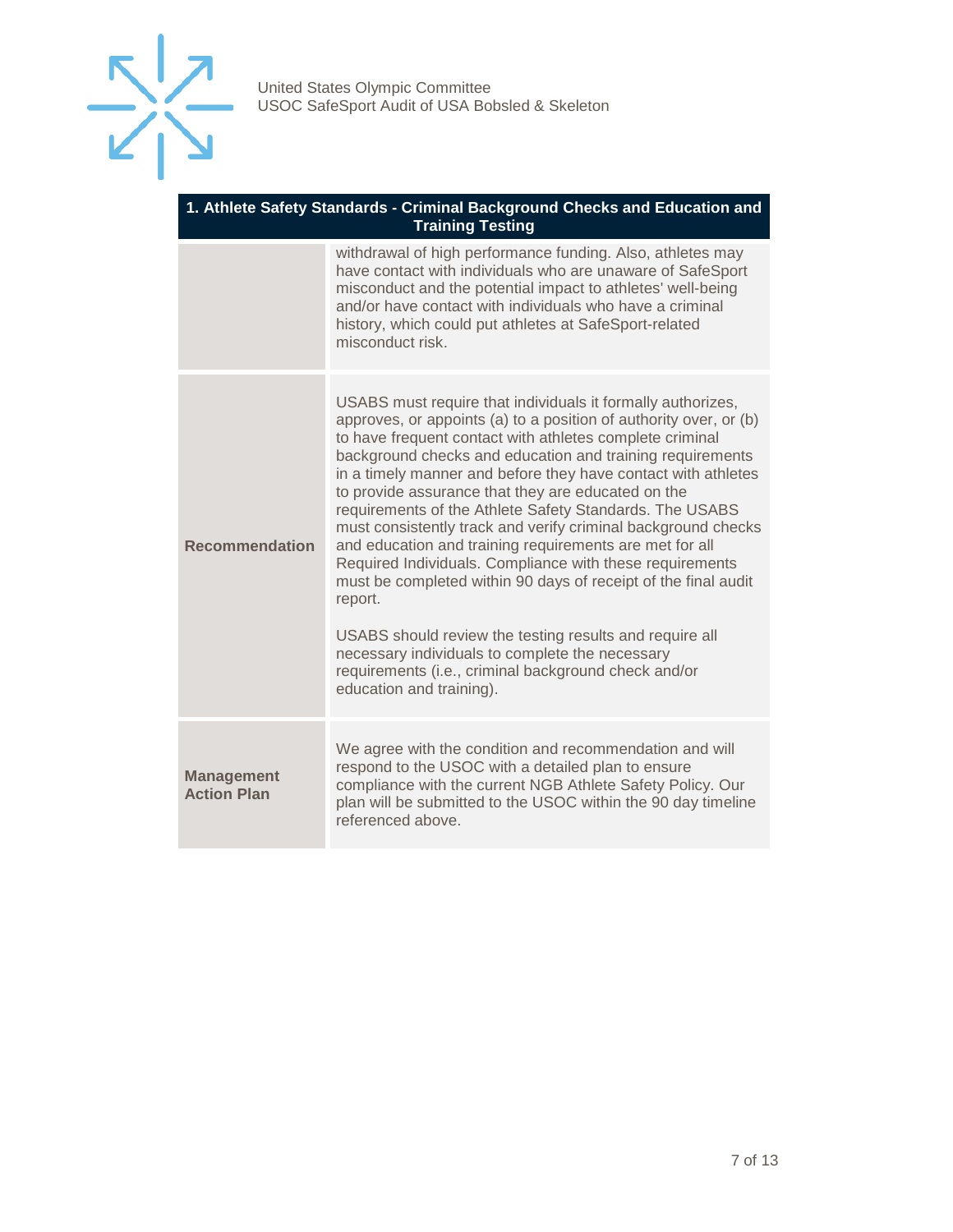

| 1. Athlete Safety Standards - Criminal Background Checks and Education and |
|----------------------------------------------------------------------------|
| <b>Training Testing</b>                                                    |

|                                         | withdrawal of high performance funding. Also, athletes may<br>have contact with individuals who are unaware of SafeSport<br>misconduct and the potential impact to athletes' well-being<br>and/or have contact with individuals who have a criminal<br>history, which could put athletes at SafeSport-related<br>misconduct risk.                                                                                                                                                                                                                                                                                                                                                                                                                                                                                                                                                                                  |
|-----------------------------------------|--------------------------------------------------------------------------------------------------------------------------------------------------------------------------------------------------------------------------------------------------------------------------------------------------------------------------------------------------------------------------------------------------------------------------------------------------------------------------------------------------------------------------------------------------------------------------------------------------------------------------------------------------------------------------------------------------------------------------------------------------------------------------------------------------------------------------------------------------------------------------------------------------------------------|
| <b>Recommendation</b>                   | USABS must require that individuals it formally authorizes,<br>approves, or appoints (a) to a position of authority over, or (b)<br>to have frequent contact with athletes complete criminal<br>background checks and education and training requirements<br>in a timely manner and before they have contact with athletes<br>to provide assurance that they are educated on the<br>requirements of the Athlete Safety Standards. The USABS<br>must consistently track and verify criminal background checks<br>and education and training requirements are met for all<br>Required Individuals. Compliance with these requirements<br>must be completed within 90 days of receipt of the final audit<br>report.<br>USABS should review the testing results and require all<br>necessary individuals to complete the necessary<br>requirements (i.e., criminal background check and/or<br>education and training). |
| <b>Management</b><br><b>Action Plan</b> | We agree with the condition and recommendation and will<br>respond to the USOC with a detailed plan to ensure<br>compliance with the current NGB Athlete Safety Policy. Our<br>plan will be submitted to the USOC within the 90 day timeline<br>referenced above.                                                                                                                                                                                                                                                                                                                                                                                                                                                                                                                                                                                                                                                  |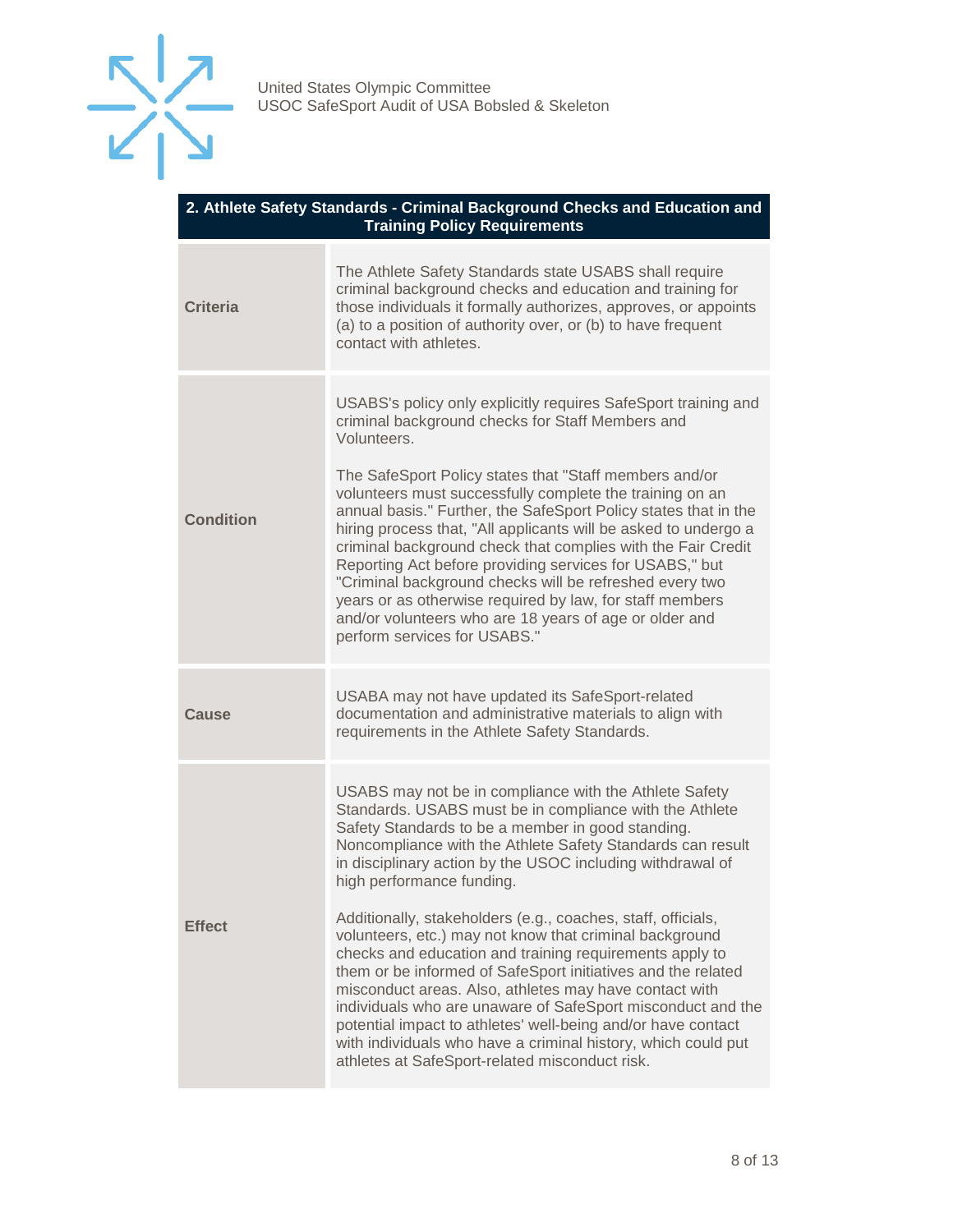

#### **2. Athlete Safety Standards - Criminal Background Checks and Education and Training Policy Requirements**

| The Athlete Safety Standards state USABS shall require<br>criminal background checks and education and training for<br>those individuals it formally authorizes, approves, or appoints<br>(a) to a position of authority over, or (b) to have frequent<br>contact with athletes.                                                                                                                                                                                                                                                                                                                                                                                                                                                                                                                                                                                                                  |
|---------------------------------------------------------------------------------------------------------------------------------------------------------------------------------------------------------------------------------------------------------------------------------------------------------------------------------------------------------------------------------------------------------------------------------------------------------------------------------------------------------------------------------------------------------------------------------------------------------------------------------------------------------------------------------------------------------------------------------------------------------------------------------------------------------------------------------------------------------------------------------------------------|
| USABS's policy only explicitly requires SafeSport training and<br>criminal background checks for Staff Members and<br>Volunteers.<br>The SafeSport Policy states that "Staff members and/or<br>volunteers must successfully complete the training on an<br>annual basis." Further, the SafeSport Policy states that in the<br>hiring process that, "All applicants will be asked to undergo a<br>criminal background check that complies with the Fair Credit<br>Reporting Act before providing services for USABS," but<br>"Criminal background checks will be refreshed every two<br>years or as otherwise required by law, for staff members<br>and/or volunteers who are 18 years of age or older and<br>perform services for USABS."                                                                                                                                                         |
| USABA may not have updated its SafeSport-related<br>documentation and administrative materials to align with<br>requirements in the Athlete Safety Standards.                                                                                                                                                                                                                                                                                                                                                                                                                                                                                                                                                                                                                                                                                                                                     |
| USABS may not be in compliance with the Athlete Safety<br>Standards. USABS must be in compliance with the Athlete<br>Safety Standards to be a member in good standing.<br>Noncompliance with the Athlete Safety Standards can result<br>in disciplinary action by the USOC including withdrawal of<br>high performance funding.<br>Additionally, stakeholders (e.g., coaches, staff, officials,<br>volunteers, etc.) may not know that criminal background<br>checks and education and training requirements apply to<br>them or be informed of SafeSport initiatives and the related<br>misconduct areas. Also, athletes may have contact with<br>individuals who are unaware of SafeSport misconduct and the<br>potential impact to athletes' well-being and/or have contact<br>with individuals who have a criminal history, which could put<br>athletes at SafeSport-related misconduct risk. |
|                                                                                                                                                                                                                                                                                                                                                                                                                                                                                                                                                                                                                                                                                                                                                                                                                                                                                                   |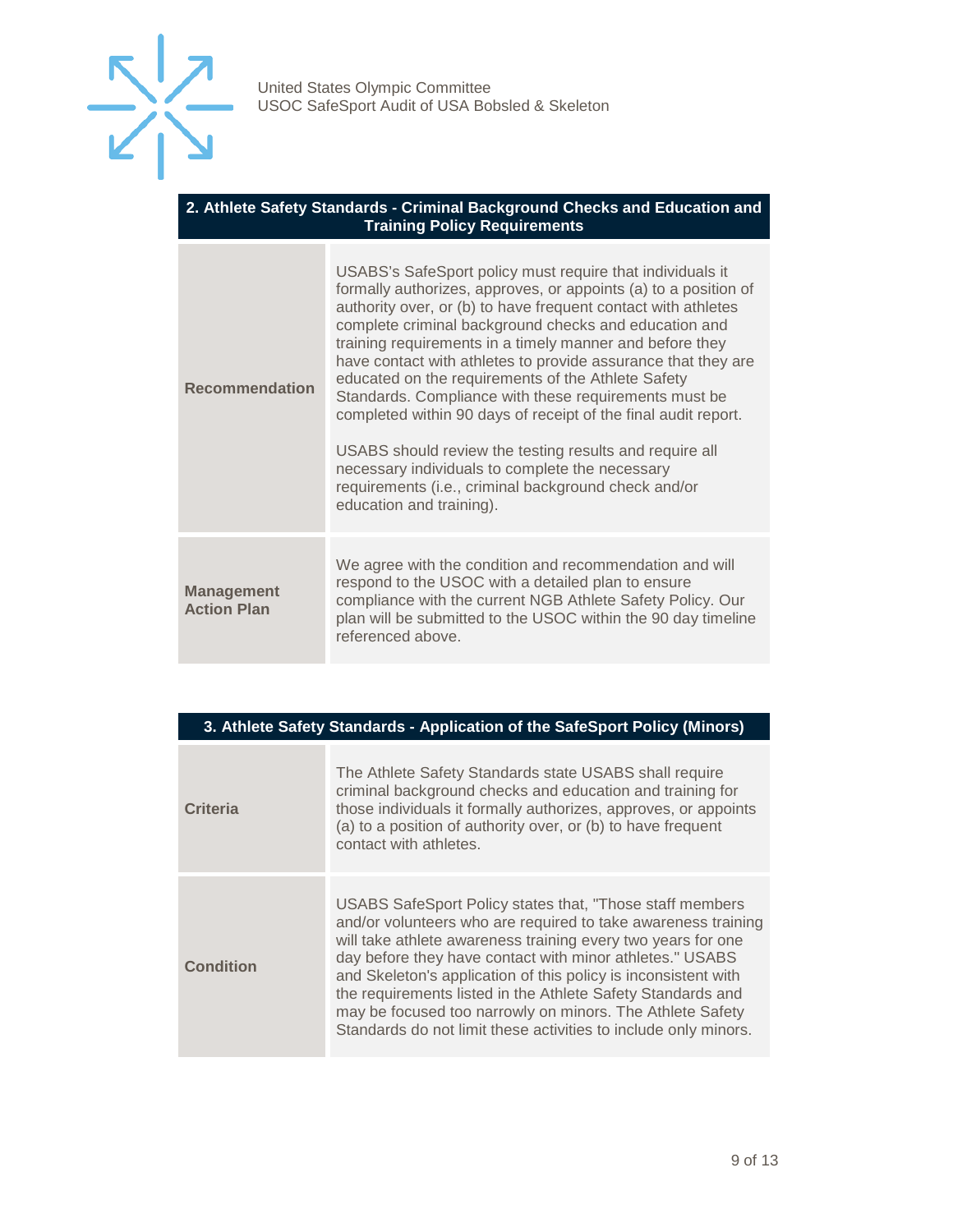

#### **2. Athlete Safety Standards - Criminal Background Checks and Education and Training Policy Requirements**

| <b>Recommendation</b>                   | USABS's SafeSport policy must require that individuals it<br>formally authorizes, approves, or appoints (a) to a position of<br>authority over, or (b) to have frequent contact with athletes<br>complete criminal background checks and education and<br>training requirements in a timely manner and before they<br>have contact with athletes to provide assurance that they are<br>educated on the requirements of the Athlete Safety<br>Standards. Compliance with these requirements must be<br>completed within 90 days of receipt of the final audit report.<br>USABS should review the testing results and require all<br>necessary individuals to complete the necessary<br>requirements (i.e., criminal background check and/or<br>education and training). |
|-----------------------------------------|------------------------------------------------------------------------------------------------------------------------------------------------------------------------------------------------------------------------------------------------------------------------------------------------------------------------------------------------------------------------------------------------------------------------------------------------------------------------------------------------------------------------------------------------------------------------------------------------------------------------------------------------------------------------------------------------------------------------------------------------------------------------|
| <b>Management</b><br><b>Action Plan</b> | We agree with the condition and recommendation and will<br>respond to the USOC with a detailed plan to ensure<br>compliance with the current NGB Athlete Safety Policy. Our<br>plan will be submitted to the USOC within the 90 day timeline<br>referenced above.                                                                                                                                                                                                                                                                                                                                                                                                                                                                                                      |

| 3. Athlete Safety Standards - Application of the SafeSport Policy (Minors) |                                                                                                                                                                                                                                                                                                                                                                                                                                                                                                                        |
|----------------------------------------------------------------------------|------------------------------------------------------------------------------------------------------------------------------------------------------------------------------------------------------------------------------------------------------------------------------------------------------------------------------------------------------------------------------------------------------------------------------------------------------------------------------------------------------------------------|
| <b>Criteria</b>                                                            | The Athlete Safety Standards state USABS shall require<br>criminal background checks and education and training for<br>those individuals it formally authorizes, approves, or appoints<br>(a) to a position of authority over, or (b) to have frequent<br>contact with athletes.                                                                                                                                                                                                                                       |
| <b>Condition</b>                                                           | USABS SafeSport Policy states that, "Those staff members<br>and/or volunteers who are required to take awareness training<br>will take athlete awareness training every two years for one<br>day before they have contact with minor athletes." USABS<br>and Skeleton's application of this policy is inconsistent with<br>the requirements listed in the Athlete Safety Standards and<br>may be focused too narrowly on minors. The Athlete Safety<br>Standards do not limit these activities to include only minors. |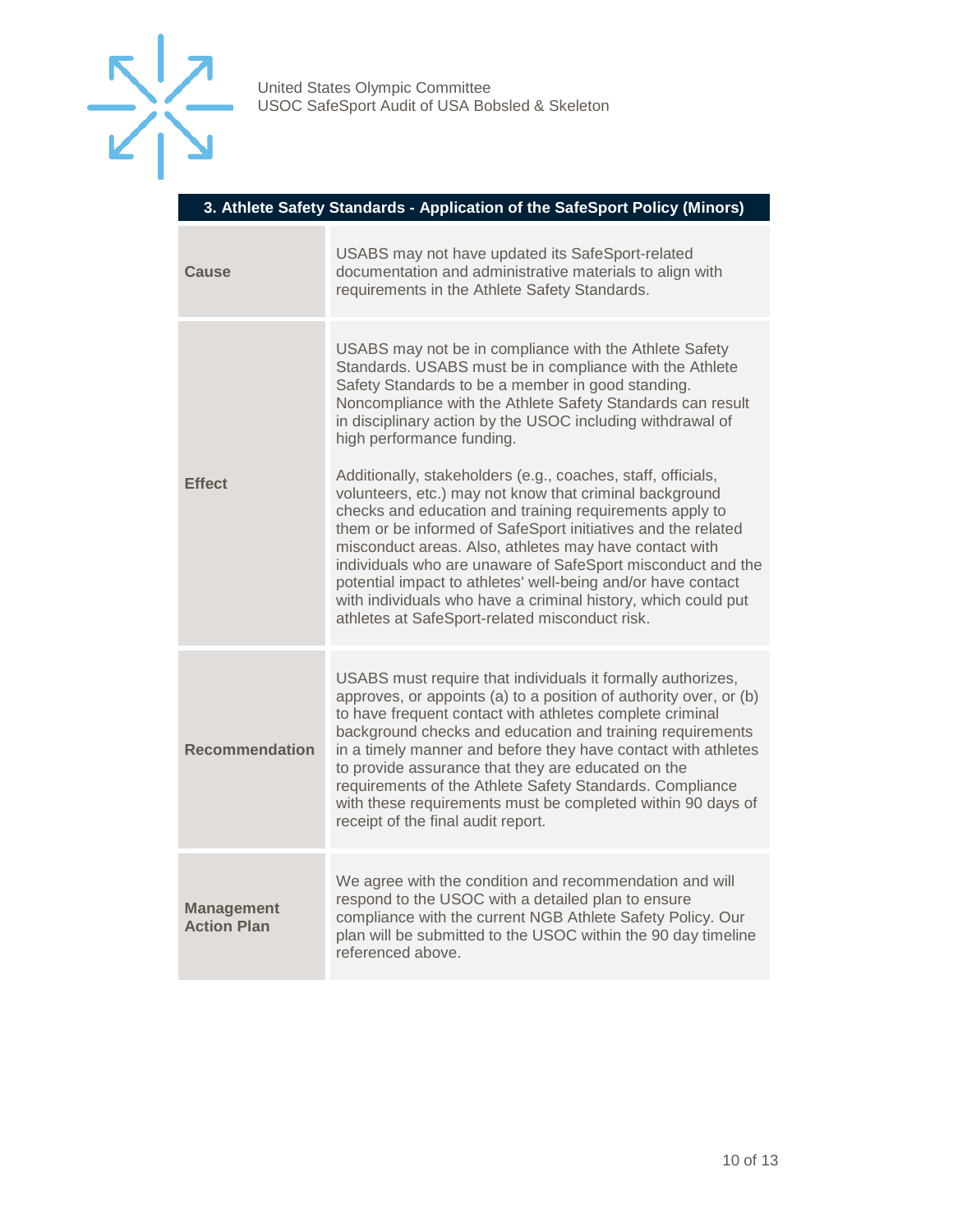

#### **3. Athlete Safety Standards - Application of the SafeSport Policy (Minors)**

| Cause                                   | USABS may not have updated its SafeSport-related<br>documentation and administrative materials to align with<br>requirements in the Athlete Safety Standards.                                                                                                                                                                                                                                                                                                                                                                                                  |
|-----------------------------------------|----------------------------------------------------------------------------------------------------------------------------------------------------------------------------------------------------------------------------------------------------------------------------------------------------------------------------------------------------------------------------------------------------------------------------------------------------------------------------------------------------------------------------------------------------------------|
| <b>Effect</b>                           | USABS may not be in compliance with the Athlete Safety<br>Standards. USABS must be in compliance with the Athlete<br>Safety Standards to be a member in good standing.<br>Noncompliance with the Athlete Safety Standards can result<br>in disciplinary action by the USOC including withdrawal of<br>high performance funding.                                                                                                                                                                                                                                |
|                                         | Additionally, stakeholders (e.g., coaches, staff, officials,<br>volunteers, etc.) may not know that criminal background<br>checks and education and training requirements apply to<br>them or be informed of SafeSport initiatives and the related<br>misconduct areas. Also, athletes may have contact with<br>individuals who are unaware of SafeSport misconduct and the<br>potential impact to athletes' well-being and/or have contact<br>with individuals who have a criminal history, which could put<br>athletes at SafeSport-related misconduct risk. |
| <b>Recommendation</b>                   | USABS must require that individuals it formally authorizes,<br>approves, or appoints (a) to a position of authority over, or (b)<br>to have frequent contact with athletes complete criminal<br>background checks and education and training requirements<br>in a timely manner and before they have contact with athletes<br>to provide assurance that they are educated on the<br>requirements of the Athlete Safety Standards. Compliance<br>with these requirements must be completed within 90 days of<br>receipt of the final audit report.              |
| <b>Management</b><br><b>Action Plan</b> | We agree with the condition and recommendation and will<br>respond to the USOC with a detailed plan to ensure<br>compliance with the current NGB Athlete Safety Policy. Our<br>plan will be submitted to the USOC within the 90 day timeline<br>referenced above.                                                                                                                                                                                                                                                                                              |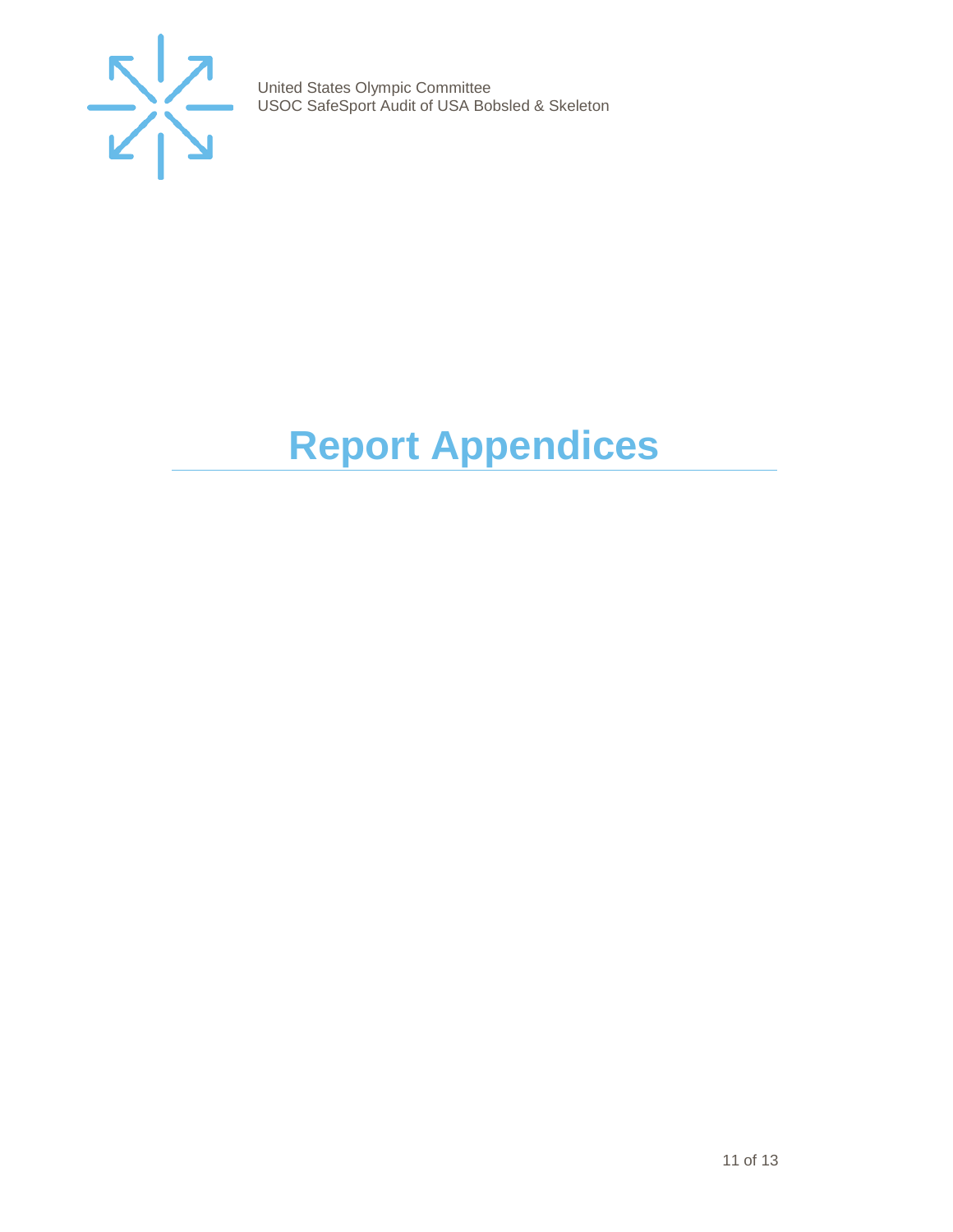

# <span id="page-10-0"></span>**Report Appendices**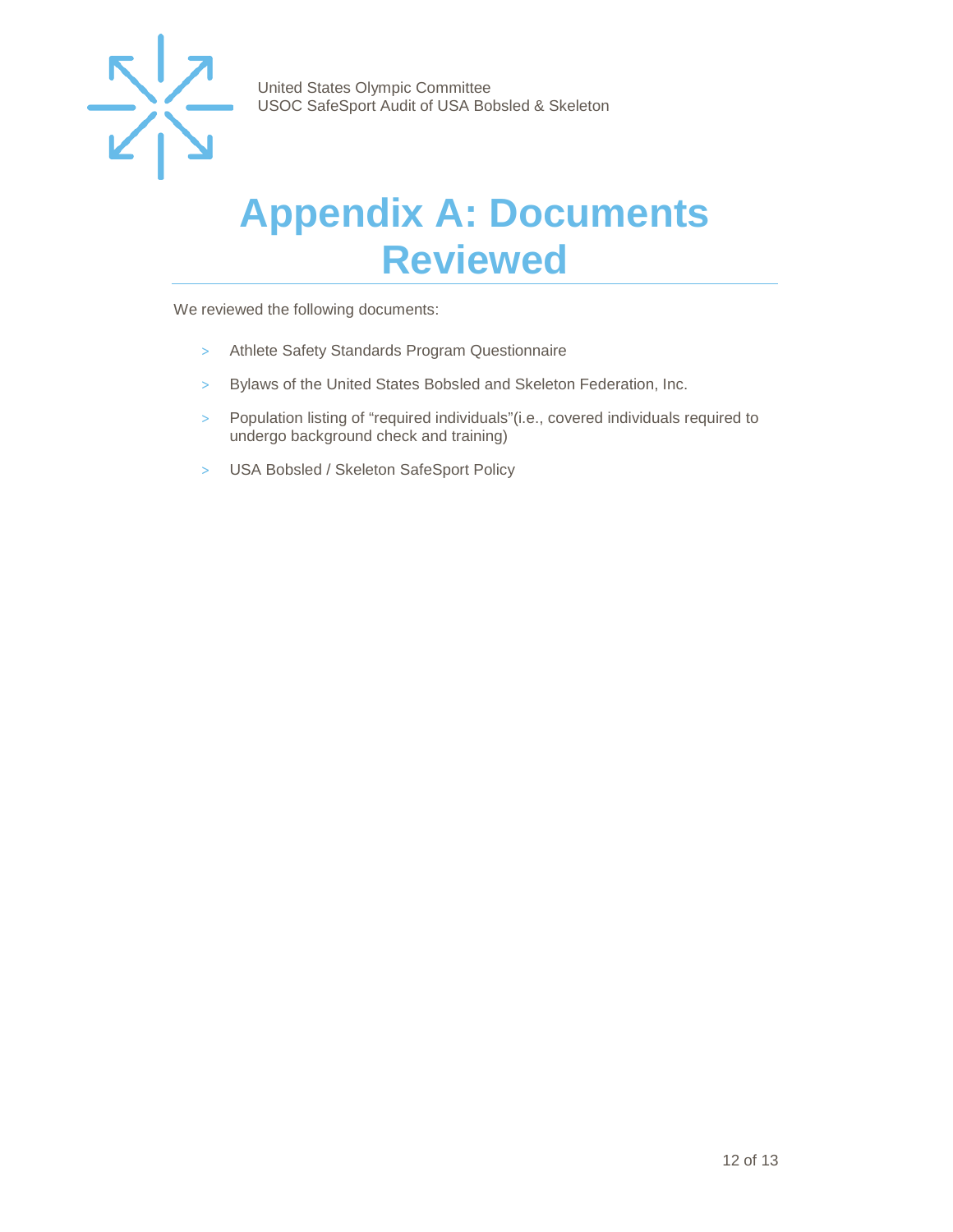

### <span id="page-11-0"></span>**Appendix A: Documents Reviewed**

We reviewed the following documents:

- > Athlete Safety Standards Program Questionnaire
- > Bylaws of the United States Bobsled and Skeleton Federation, Inc.
- > Population listing of "required individuals"(i.e., covered individuals required to undergo background check and training)
- > USA Bobsled / Skeleton SafeSport Policy